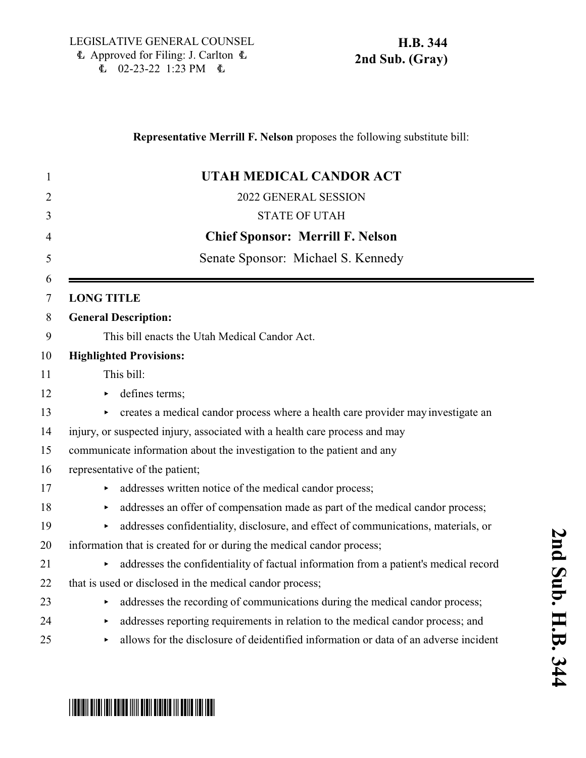| 1  | UTAH MEDICAL CANDOR ACT                                                                   |
|----|-------------------------------------------------------------------------------------------|
| 2  | 2022 GENERAL SESSION                                                                      |
| 3  | <b>STATE OF UTAH</b>                                                                      |
| 4  | <b>Chief Sponsor: Merrill F. Nelson</b>                                                   |
| 5  | Senate Sponsor: Michael S. Kennedy                                                        |
| 6  |                                                                                           |
| 7  | <b>LONG TITLE</b>                                                                         |
| 8  | <b>General Description:</b>                                                               |
| 9  | This bill enacts the Utah Medical Candor Act.                                             |
| 10 | <b>Highlighted Provisions:</b>                                                            |
| 11 | This bill:                                                                                |
| 12 | defines terms;<br>▶                                                                       |
| 13 | creates a medical candor process where a health care provider may investigate an          |
| 14 | injury, or suspected injury, associated with a health care process and may                |
| 15 | communicate information about the investigation to the patient and any                    |
| 16 | representative of the patient;                                                            |
| 17 | addresses written notice of the medical candor process;                                   |
| 18 | addresses an offer of compensation made as part of the medical candor process;<br>▶       |
| 19 | addresses confidentiality, disclosure, and effect of communications, materials, or        |
| 20 | information that is created for or during the medical candor process;                     |
| 21 | addresses the confidentiality of factual information from a patient's medical record<br>► |
| 22 | that is used or disclosed in the medical candor process;                                  |
| 23 | addresses the recording of communications during the medical candor process;              |
| 24 | addresses reporting requirements in relation to the medical candor process; and           |
| 25 | allows for the disclosure of deidentified information or data of an adverse incident      |
|    |                                                                                           |

**Representative Merrill F. Nelson** proposes the following substitute bill:

# \*HB0344S02\*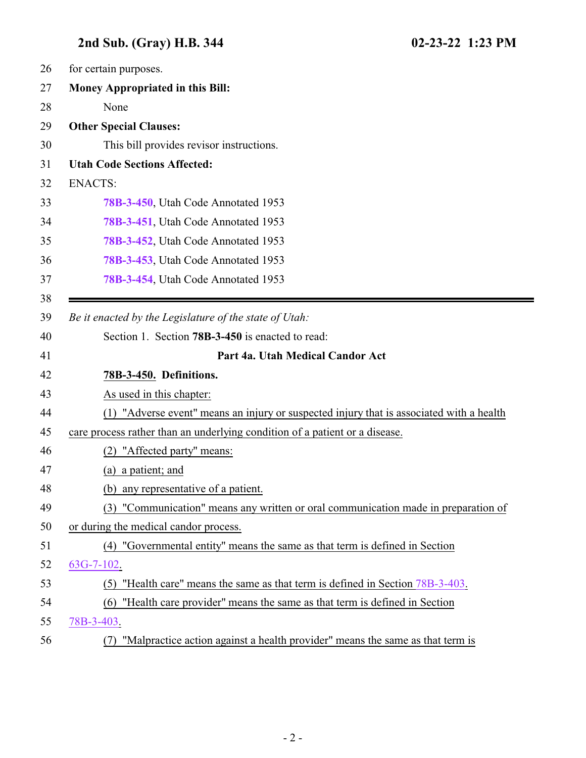<span id="page-1-0"></span>

| 26 | for certain purposes.                                                                       |
|----|---------------------------------------------------------------------------------------------|
| 27 | <b>Money Appropriated in this Bill:</b>                                                     |
| 28 | None                                                                                        |
| 29 | <b>Other Special Clauses:</b>                                                               |
| 30 | This bill provides revisor instructions.                                                    |
| 31 | <b>Utah Code Sections Affected:</b>                                                         |
| 32 | <b>ENACTS:</b>                                                                              |
| 33 | 78B-3-450, Utah Code Annotated 1953                                                         |
| 34 | 78B-3-451, Utah Code Annotated 1953                                                         |
| 35 | 78B-3-452, Utah Code Annotated 1953                                                         |
| 36 | 78B-3-453, Utah Code Annotated 1953                                                         |
| 37 | 78B-3-454, Utah Code Annotated 1953                                                         |
| 38 |                                                                                             |
| 39 | Be it enacted by the Legislature of the state of Utah:                                      |
| 40 | Section 1. Section <b>78B-3-450</b> is enacted to read:                                     |
| 41 | Part 4a. Utah Medical Candor Act                                                            |
| 42 | 78B-3-450. Definitions.                                                                     |
| 43 | As used in this chapter:                                                                    |
| 44 | "Adverse event" means an injury or suspected injury that is associated with a health<br>(1) |
| 45 | care process rather than an underlying condition of a patient or a disease.                 |
| 46 | "Affected party" means:<br>(2)                                                              |
| 47 | (a) a patient; and                                                                          |
| 48 | (b) any representative of a patient.                                                        |
| 49 | (3) "Communication" means any written or oral communication made in preparation of          |
| 50 | or during the medical candor process.                                                       |
| 51 | (4) "Governmental entity" means the same as that term is defined in Section                 |
| 52 | $63G-7-102$ .                                                                               |
| 53 | (5) "Health care" means the same as that term is defined in Section 78B-3-403.              |
| 54 | "Health care provider" means the same as that term is defined in Section<br>(6)             |
| 55 | 78B-3-403.                                                                                  |
| 56 | "Malpractice action against a health provider" means the same as that term is<br>(7)        |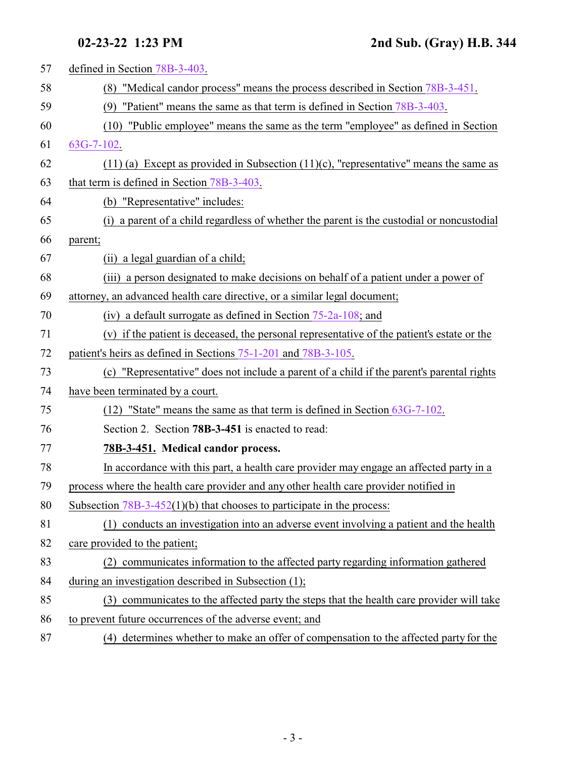<span id="page-2-0"></span>

| 57 | defined in Section 78B-3-403.                                                              |
|----|--------------------------------------------------------------------------------------------|
| 58 | (8) "Medical candor process" means the process described in Section 78B-3-451.             |
| 59 | "Patient" means the same as that term is defined in Section 78B-3-403.<br>(9)              |
| 60 | (10) "Public employee" means the same as the term "employee" as defined in Section         |
| 61 | $63G-7-102$ .                                                                              |
| 62 | $(11)$ (a) Except as provided in Subsection $(11)$ (c), "representative" means the same as |
| 63 | that term is defined in Section 78B-3-403.                                                 |
| 64 | (b) "Representative" includes:                                                             |
| 65 | (i) a parent of a child regardless of whether the parent is the custodial or noncustodial  |
| 66 | parent;                                                                                    |
| 67 | (ii) a legal guardian of a child;                                                          |
| 68 | (iii) a person designated to make decisions on behalf of a patient under a power of        |
| 69 | attorney, an advanced health care directive, or a similar legal document;                  |
| 70 | (iv) a default surrogate as defined in Section $75-2a-108$ ; and                           |
| 71 | (v) if the patient is deceased, the personal representative of the patient's estate or the |
| 72 | patient's heirs as defined in Sections 75-1-201 and 78B-3-105.                             |
| 73 | (c) "Representative" does not include a parent of a child if the parent's parental rights  |
| 74 | have been terminated by a court.                                                           |
| 75 | (12) "State" means the same as that term is defined in Section 63G-7-102.                  |
| 76 | Section 2. Section 78B-3-451 is enacted to read:                                           |
| 77 | 78B-3-451. Medical candor process.                                                         |
| 78 | In accordance with this part, a health care provider may engage an affected party in a     |
| 79 | process where the health care provider and any other health care provider notified in      |
| 80 | Subsection $78B-3-452(1)(b)$ that chooses to participate in the process:                   |
| 81 | (1) conducts an investigation into an adverse event involving a patient and the health     |
| 82 | care provided to the patient;                                                              |
| 83 | communicates information to the affected party regarding information gathered<br>(2)       |
| 84 | during an investigation described in Subsection (1);                                       |
| 85 | (3) communicates to the affected party the steps that the health care provider will take   |
| 86 | to prevent future occurrences of the adverse event; and                                    |
| 87 | (4) determines whether to make an offer of compensation to the affected party for the      |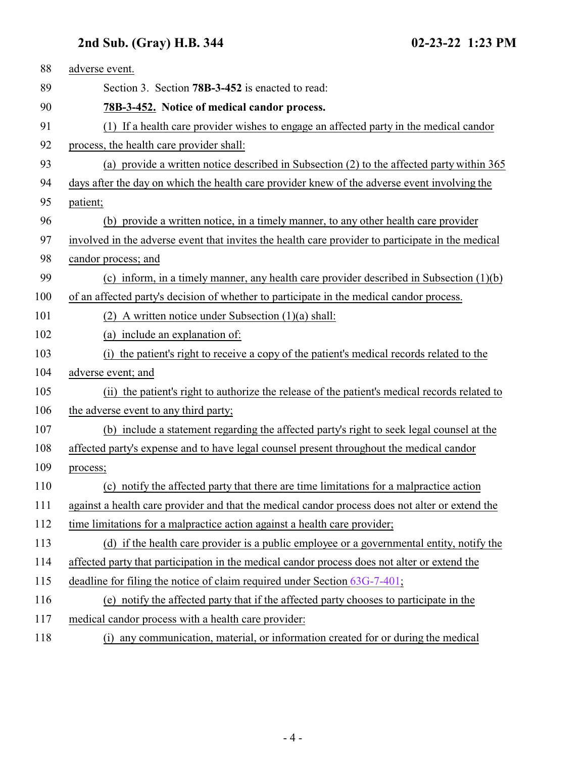<span id="page-3-0"></span>

| 88  | adverse event.                                                                                    |
|-----|---------------------------------------------------------------------------------------------------|
| 89  | Section 3. Section 78B-3-452 is enacted to read:                                                  |
| 90  | 78B-3-452. Notice of medical candor process.                                                      |
| 91  | (1) If a health care provider wishes to engage an affected party in the medical candor            |
| 92  | process, the health care provider shall:                                                          |
| 93  | (a) provide a written notice described in Subsection (2) to the affected party within 365         |
| 94  | days after the day on which the health care provider knew of the adverse event involving the      |
| 95  | patient;                                                                                          |
| 96  | (b) provide a written notice, in a timely manner, to any other health care provider               |
| 97  | involved in the adverse event that invites the health care provider to participate in the medical |
| 98  | candor process; and                                                                               |
| 99  | (c) inform, in a timely manner, any health care provider described in Subsection $(1)(b)$         |
| 100 | of an affected party's decision of whether to participate in the medical candor process.          |
| 101 | (2) A written notice under Subsection $(1)(a)$ shall:                                             |
| 102 | (a) include an explanation of:                                                                    |
| 103 | (i) the patient's right to receive a copy of the patient's medical records related to the         |
| 104 | adverse event; and                                                                                |
| 105 | (ii) the patient's right to authorize the release of the patient's medical records related to     |
| 106 | the adverse event to any third party;                                                             |
| 107 | (b) include a statement regarding the affected party's right to seek legal counsel at the         |
| 108 | affected party's expense and to have legal counsel present throughout the medical candor          |
| 109 | process;                                                                                          |
| 110 | (c) notify the affected party that there are time limitations for a malpractice action            |
| 111 | against a health care provider and that the medical candor process does not alter or extend the   |
| 112 | time limitations for a malpractice action against a health care provider;                         |
| 113 | (d) if the health care provider is a public employee or a governmental entity, notify the         |
| 114 | affected party that participation in the medical candor process does not alter or extend the      |
| 115 | deadline for filing the notice of claim required under Section 63G-7-401;                         |
| 116 | (e) notify the affected party that if the affected party chooses to participate in the            |
| 117 | medical candor process with a health care provider:                                               |
| 118 | (i) any communication, material, or information created for or during the medical                 |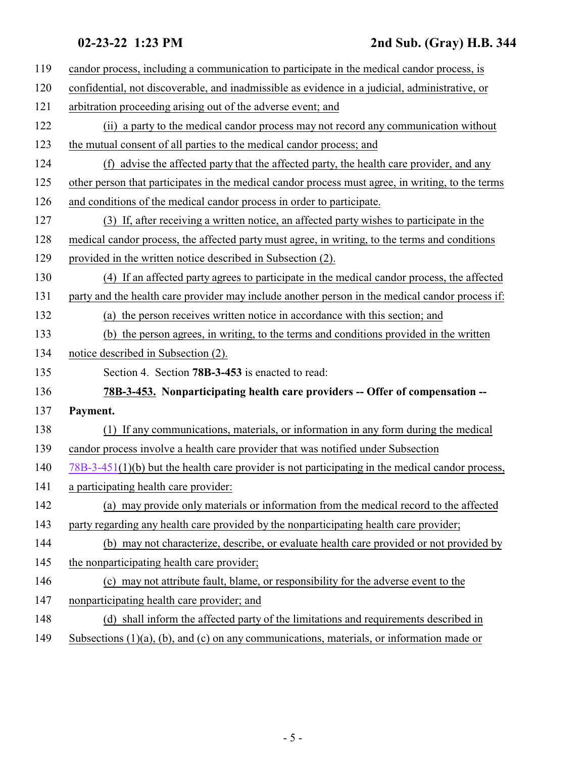<span id="page-4-0"></span>

| 119 | candor process, including a communication to participate in the medical candor process, is         |
|-----|----------------------------------------------------------------------------------------------------|
| 120 | confidential, not discoverable, and inadmissible as evidence in a judicial, administrative, or     |
| 121 | arbitration proceeding arising out of the adverse event; and                                       |
| 122 | (ii) a party to the medical candor process may not record any communication without                |
| 123 | the mutual consent of all parties to the medical candor process; and                               |
| 124 | (f) advise the affected party that the affected party, the health care provider, and any           |
| 125 | other person that participates in the medical candor process must agree, in writing, to the terms  |
| 126 | and conditions of the medical candor process in order to participate.                              |
| 127 | (3) If, after receiving a written notice, an affected party wishes to participate in the           |
| 128 | medical candor process, the affected party must agree, in writing, to the terms and conditions     |
| 129 | provided in the written notice described in Subsection (2).                                        |
| 130 | (4) If an affected party agrees to participate in the medical candor process, the affected         |
| 131 | party and the health care provider may include another person in the medical candor process if:    |
| 132 | (a) the person receives written notice in accordance with this section; and                        |
| 133 | (b) the person agrees, in writing, to the terms and conditions provided in the written             |
|     |                                                                                                    |
| 134 | notice described in Subsection (2).                                                                |
| 135 | Section 4. Section <b>78B-3-453</b> is enacted to read:                                            |
| 136 | 78B-3-453. Nonparticipating health care providers -- Offer of compensation --                      |
| 137 | Payment.                                                                                           |
| 138 | (1) If any communications, materials, or information in any form during the medical                |
| 139 | candor process involve a health care provider that was notified under Subsection                   |
| 140 | $78B-3-451(1)(b)$ but the health care provider is not participating in the medical candor process, |
| 141 | a participating health care provider:                                                              |
| 142 | (a) may provide only materials or information from the medical record to the affected              |
| 143 | party regarding any health care provided by the nonparticipating health care provider;             |
| 144 | (b) may not characterize, describe, or evaluate health care provided or not provided by            |
| 145 | the nonparticipating health care provider;                                                         |
| 146 | (c) may not attribute fault, blame, or responsibility for the adverse event to the                 |
| 147 | nonparticipating health care provider; and                                                         |
| 148 | (d) shall inform the affected party of the limitations and requirements described in               |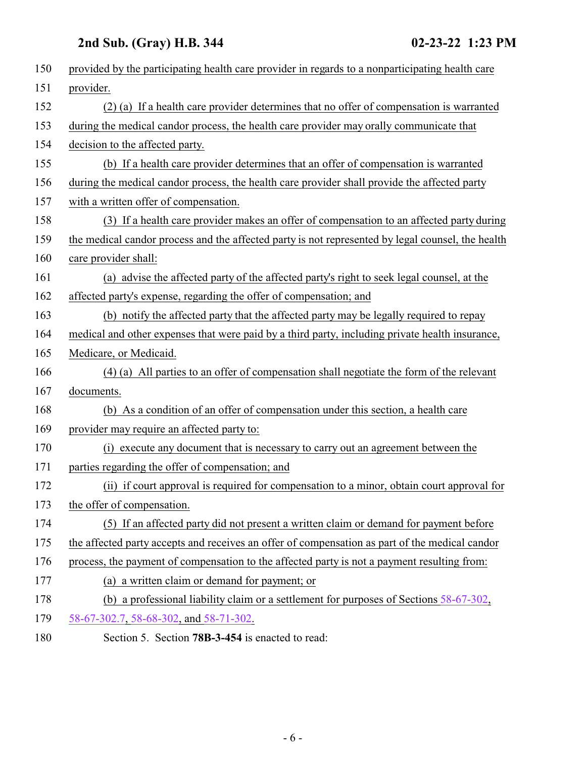<span id="page-5-0"></span>

| 150 | provided by the participating health care provider in regards to a nonparticipating health care   |
|-----|---------------------------------------------------------------------------------------------------|
|     |                                                                                                   |
| 151 | provider.                                                                                         |
| 152 | (2) (a) If a health care provider determines that no offer of compensation is warranted           |
| 153 | during the medical candor process, the health care provider may orally communicate that           |
| 154 | decision to the affected party.                                                                   |
| 155 | (b) If a health care provider determines that an offer of compensation is warranted               |
| 156 | during the medical candor process, the health care provider shall provide the affected party      |
| 157 | with a written offer of compensation.                                                             |
| 158 | (3) If a health care provider makes an offer of compensation to an affected party during          |
| 159 | the medical candor process and the affected party is not represented by legal counsel, the health |
| 160 | care provider shall:                                                                              |
| 161 | (a) advise the affected party of the affected party's right to seek legal counsel, at the         |
| 162 | affected party's expense, regarding the offer of compensation; and                                |
| 163 | (b) notify the affected party that the affected party may be legally required to repay            |
| 164 | medical and other expenses that were paid by a third party, including private health insurance,   |
| 165 | Medicare, or Medicaid.                                                                            |
| 166 | (4) (a) All parties to an offer of compensation shall negotiate the form of the relevant          |
| 167 | documents.                                                                                        |
| 168 | (b) As a condition of an offer of compensation under this section, a health care                  |
| 169 | provider may require an affected party to:                                                        |
| 170 | execute any document that is necessary to carry out an agreement between the<br>(i)               |
| 171 | parties regarding the offer of compensation; and                                                  |
| 172 | (ii) if court approval is required for compensation to a minor, obtain court approval for         |
| 173 | the offer of compensation.                                                                        |
| 174 | (5) If an affected party did not present a written claim or demand for payment before             |
| 175 | the affected party accepts and receives an offer of compensation as part of the medical candor    |
| 176 | process, the payment of compensation to the affected party is not a payment resulting from:       |
| 177 | (a) a written claim or demand for payment; or                                                     |
| 178 | (b) a professional liability claim or a settlement for purposes of Sections $58-67-302$ ,         |
| 179 | 58-67-302.7, 58-68-302, and 58-71-302.                                                            |
| 180 | Section 5. Section 78B-3-454 is enacted to read:                                                  |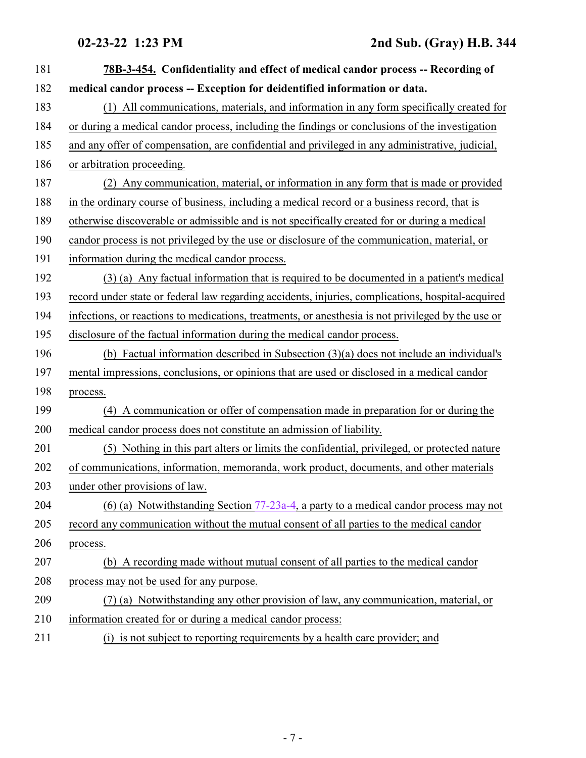| 181 | 78B-3-454. Confidentiality and effect of medical candor process -- Recording of                    |
|-----|----------------------------------------------------------------------------------------------------|
| 182 | medical candor process -- Exception for deidentified information or data.                          |
| 183 | (1) All communications, materials, and information in any form specifically created for            |
| 184 | or during a medical candor process, including the findings or conclusions of the investigation     |
| 185 | and any offer of compensation, are confidential and privileged in any administrative, judicial,    |
| 186 | or arbitration proceeding.                                                                         |
| 187 | (2) Any communication, material, or information in any form that is made or provided               |
| 188 | in the ordinary course of business, including a medical record or a business record, that is       |
| 189 | otherwise discoverable or admissible and is not specifically created for or during a medical       |
| 190 | candor process is not privileged by the use or disclosure of the communication, material, or       |
| 191 | information during the medical candor process.                                                     |
| 192 | (3) (a) Any factual information that is required to be documented in a patient's medical           |
| 193 | record under state or federal law regarding accidents, injuries, complications, hospital-acquired  |
| 194 | infections, or reactions to medications, treatments, or anesthesia is not privileged by the use or |
| 195 | disclosure of the factual information during the medical candor process.                           |
| 196 | (b) Factual information described in Subsection $(3)(a)$ does not include an individual's          |
| 197 | mental impressions, conclusions, or opinions that are used or disclosed in a medical candor        |
| 198 | process.                                                                                           |
| 199 | (4) A communication or offer of compensation made in preparation for or during the                 |
| 200 | medical candor process does not constitute an admission of liability.                              |
| 201 | (5) Nothing in this part alters or limits the confidential, privileged, or protected nature        |
| 202 | of communications, information, memoranda, work product, documents, and other materials            |
| 203 | under other provisions of law.                                                                     |
| 204 | (6) (a) Notwithstanding Section $77-23a-4$ , a party to a medical candor process may not           |
| 205 | record any communication without the mutual consent of all parties to the medical candor           |
| 206 | process.                                                                                           |
| 207 | (b) A recording made without mutual consent of all parties to the medical candor                   |
| 208 | process may not be used for any purpose.                                                           |
| 209 | (7) (a) Notwithstanding any other provision of law, any communication, material, or                |
| 210 | information created for or during a medical candor process:                                        |
| 211 | (i) is not subject to reporting requirements by a health care provider; and                        |